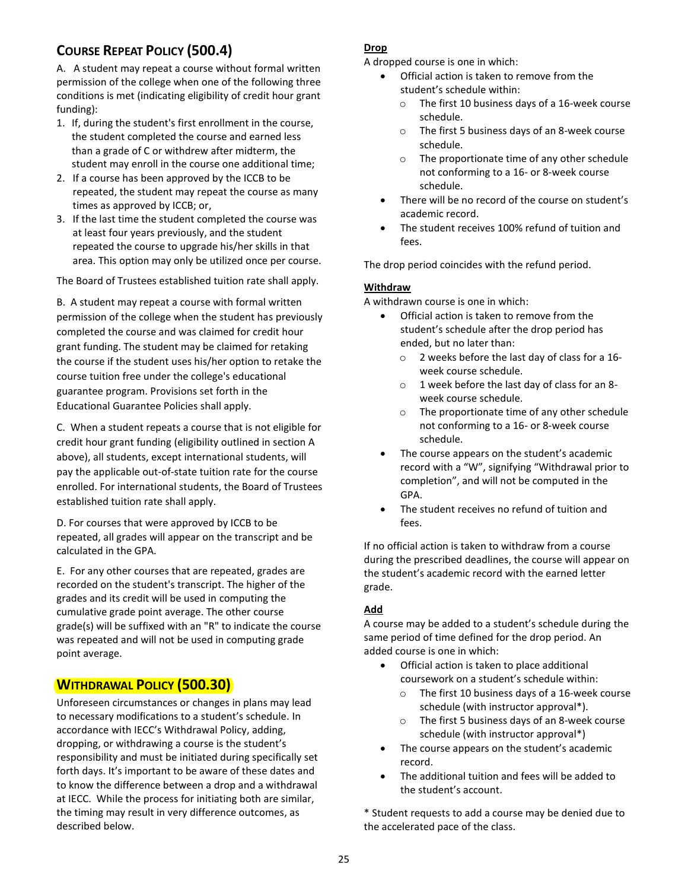# **COURSE REPEAT POLICY (500.4)**

A. A student may repeat a course without formal written permission of the college when one of the following three conditions is met (indicating eligibility of credit hour grant funding):

- 1. If, during the student's first enrollment in the course, the student completed the course and earned less than a grade of C or withdrew after midterm, the student may enroll in the course one additional time;
- 2. If a course has been approved by the ICCB to be repeated, the student may repeat the course as many times as approved by ICCB; or,
- 3. If the last time the student completed the course was at least four years previously, and the student repeated the course to upgrade his/her skills in that area. This option may only be utilized once per course.

The Board of Trustees established tuition rate shall apply.

B. A student may repeat a course with formal written permission of the college when the student has previously completed the course and was claimed for credit hour grant funding. The student may be claimed for retaking the course if the student uses his/her option to retake the course tuition free under the college's educational guarantee program. Provisions set forth in the Educational Guarantee Policies shall apply.

C. When a student repeats a course that is not eligible for credit hour grant funding (eligibility outlined in section A above), all students, except international students, will pay the applicable out-of-state tuition rate for the course enrolled. For international students, the Board of Trustees established tuition rate shall apply.

D. For courses that were approved by ICCB to be repeated, all grades will appear on the transcript and be calculated in the GPA.

E. For any other courses that are repeated, grades are recorded on the student's transcript. The higher of the grades and its credit will be used in computing the cumulative grade point average. The other course grade(s) will be suffixed with an "R" to indicate the course was repeated and will not be used in computing grade point average.

## **WITHDRAWAL POLICY (500.30)**

Unforeseen circumstances or changes in plans may lead to necessary modifications to a student's schedule. In accordance with IECC's Withdrawal Policy, adding, dropping, or withdrawing a course is the student's responsibility and must be initiated during specifically set forth days. It's important to be aware of these dates and to know the difference between a drop and a withdrawal at IECC. While the process for initiating both are similar, the timing may result in very difference outcomes, as described below.

## **Drop**

A dropped course is one in which:

- Official action is taken to remove from the student's schedule within:
	- o The first 10 business days of a 16-week course schedule.
	- o The first 5 business days of an 8-week course schedule.
	- o The proportionate time of any other schedule not conforming to a 16- or 8-week course schedule.
- There will be no record of the course on student's academic record.
- The student receives 100% refund of tuition and fees.

The drop period coincides with the refund period.

#### **Withdraw**

A withdrawn course is one in which:

- Official action is taken to remove from the student's schedule after the drop period has ended, but no later than:
	- o 2 weeks before the last day of class for a 16 week course schedule.
	- o 1 week before the last day of class for an 8 week course schedule.
	- o The proportionate time of any other schedule not conforming to a 16- or 8-week course schedule.
- The course appears on the student's academic record with a "W", signifying "Withdrawal prior to completion", and will not be computed in the GPA.
- The student receives no refund of tuition and fees.

If no official action is taken to withdraw from a course during the prescribed deadlines, the course will appear on the student's academic record with the earned letter grade.

## **Add**

A course may be added to a student's schedule during the same period of time defined for the drop period. An added course is one in which:

- Official action is taken to place additional coursework on a student's schedule within:
	- o The first 10 business days of a 16-week course schedule (with instructor approval\*).
	- The first 5 business days of an 8-week course schedule (with instructor approval\*)
- The course appears on the student's academic record.
- The additional tuition and fees will be added to the student's account.

\* Student requests to add a course may be denied due to the accelerated pace of the class.